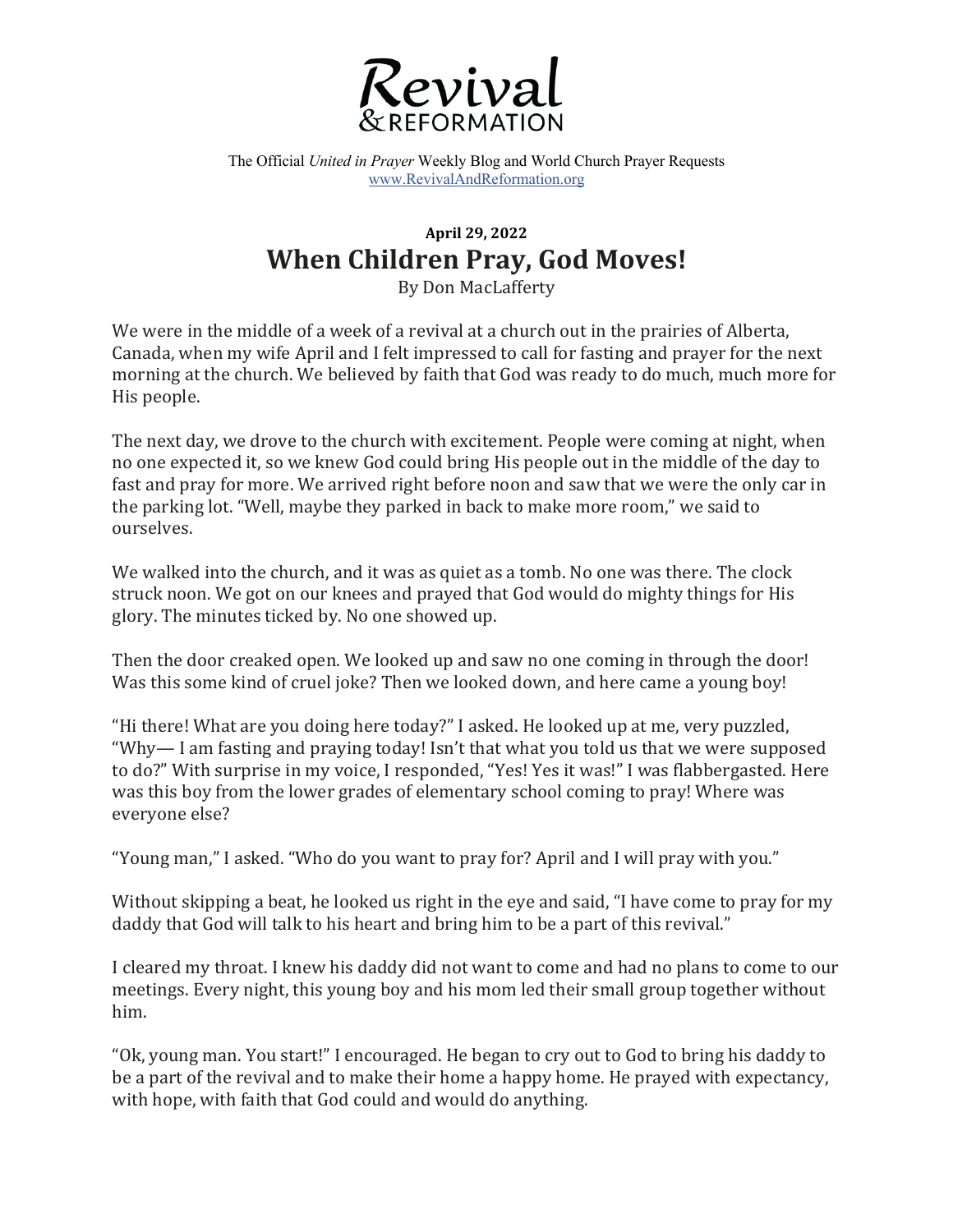

The Official *United in Prayer* Weekly Blog and World Church Prayer Requests www.RevivalAndReformation.org

## **April 29, 2022 When Children Pray, God Moves!**

By Don MacLafferty

We were in the middle of a week of a revival at a church out in the prairies of Alberta, Canada, when my wife April and I felt impressed to call for fasting and prayer for the next morning at the church. We believed by faith that God was ready to do much, much more for His people.

The next day, we drove to the church with excitement. People were coming at night, when no one expected it, so we knew God could bring His people out in the middle of the day to fast and pray for more. We arrived right before noon and saw that we were the only car in the parking lot. "Well, maybe they parked in back to make more room," we said to ourselves. 

We walked into the church, and it was as quiet as a tomb. No one was there. The clock struck noon. We got on our knees and prayed that God would do mighty things for His glory. The minutes ticked by. No one showed up.

Then the door creaked open. We looked up and saw no one coming in through the door! Was this some kind of cruel joke? Then we looked down, and here came a young boy!

"Hi there! What are you doing here today?" I asked. He looked up at me, very puzzled, "Why— I am fasting and praying today! Isn't that what you told us that we were supposed to do?" With surprise in my voice, I responded, "Yes! Yes it was!" I was flabbergasted. Here was this boy from the lower grades of elementary school coming to pray! Where was everyone else?

"Young man," I asked. "Who do you want to pray for? April and I will pray with you."

Without skipping a beat, he looked us right in the eye and said, "I have come to pray for my daddy that God will talk to his heart and bring him to be a part of this revival."

I cleared my throat. I knew his daddy did not want to come and had no plans to come to our meetings. Every night, this young boy and his mom led their small group together without him. 

"Ok, young man. You start!" I encouraged. He began to cry out to God to bring his daddy to be a part of the revival and to make their home a happy home. He prayed with expectancy, with hope, with faith that God could and would do anything.